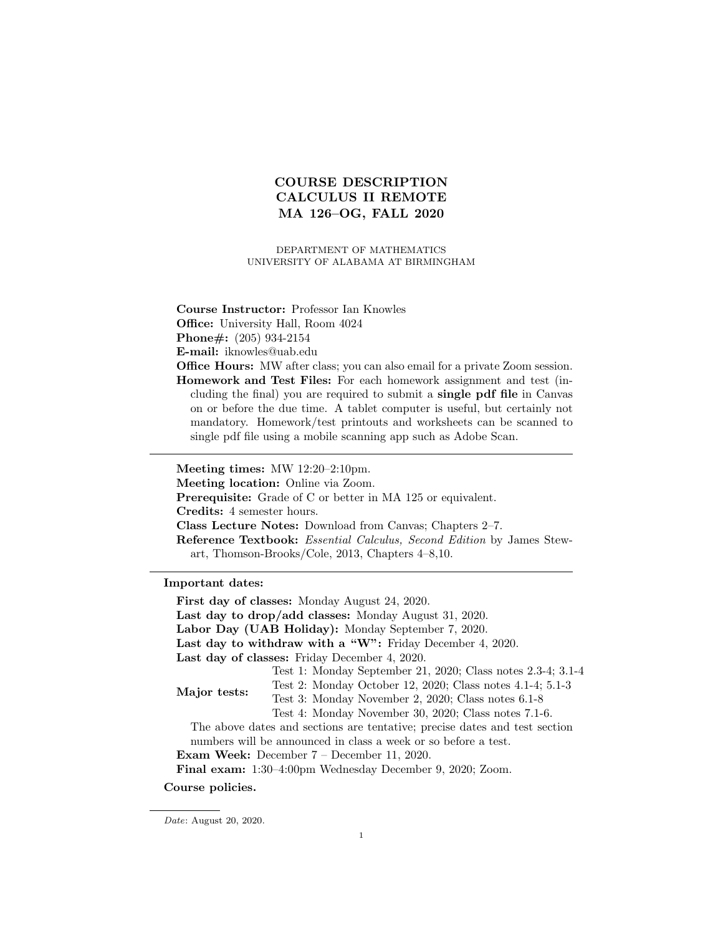# COURSE DESCRIPTION CALCULUS II REMOTE MA 126–OG, FALL 2020

DEPARTMENT OF MATHEMATICS UNIVERSITY OF ALABAMA AT BIRMINGHAM

Course Instructor: Professor Ian Knowles Office: University Hall, Room 4024

Phone#: (205) 934-2154

E-mail: iknowles@uab.edu

Office Hours: MW after class; you can also email for a private Zoom session. Homework and Test Files: For each homework assignment and test (including the final) you are required to submit a single pdf file in Canvas on or before the due time. A tablet computer is useful, but certainly not mandatory. Homework/test printouts and worksheets can be scanned to single pdf file using a mobile scanning app such as Adobe Scan.

Meeting times: MW 12:20–2:10pm. Meeting location: Online via Zoom. Prerequisite: Grade of C or better in MA 125 or equivalent. Credits: 4 semester hours. Class Lecture Notes: Download from Canvas; Chapters 2–7. Reference Textbook: Essential Calculus, Second Edition by James Stewart, Thomson-Brooks/Cole, 2013, Chapters 4–8,10.

Important dates:

First day of classes: Monday August 24, 2020. Last day to drop/add classes: Monday August 31, 2020. Labor Day (UAB Holiday): Monday September 7, 2020. Last day to withdraw with a "W": Friday December 4, 2020. Last day of classes: Friday December 4, 2020. Major tests: Test 1: Monday September 21, 2020; Class notes 2.3-4; 3.1-4 Test 2: Monday October 12, 2020; Class notes 4.1-4; 5.1-3 Test 3: Monday November 2, 2020; Class notes 6.1-8 Test 4: Monday November 30, 2020; Class notes 7.1-6. The above dates and sections are tentative; precise dates and test section numbers will be announced in class a week or so before a test. Exam Week: December 7 – December 11, 2020. Final exam: 1:30–4:00pm Wednesday December 9, 2020; Zoom. Course policies.

Date: August 20, 2020.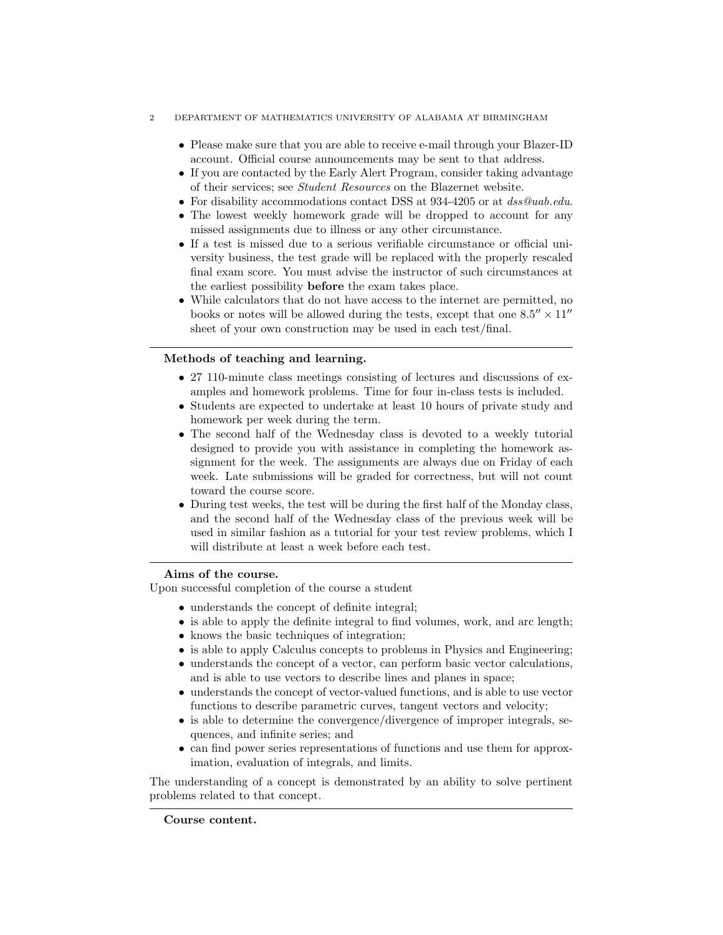#### 2 DEPARTMENT OF MATHEMATICS UNIVERSITY OF ALABAMA AT BIRMINGHAM

- Please make sure that you are able to receive e-mail through your Blazer-ID account. Official course announcements may be sent to that address.
- If you are contacted by the Early Alert Program, consider taking advantage of their services; see Student Resources on the Blazernet website.
- For disability accommodations contact DSS at 934-4205 or at dss@uab.edu.
- The lowest weekly homework grade will be dropped to account for any missed assignments due to illness or any other circumstance.
- If a test is missed due to a serious verifiable circumstance or official university business, the test grade will be replaced with the properly rescaled final exam score. You must advise the instructor of such circumstances at the earliest possibility before the exam takes place.
- While calculators that do not have access to the internet are permitted, no books or notes will be allowed during the tests, except that one  $8.5'' \times 11''$ sheet of your own construction may be used in each test/final.

### Methods of teaching and learning.

- 27 110-minute class meetings consisting of lectures and discussions of examples and homework problems. Time for four in-class tests is included.
- Students are expected to undertake at least 10 hours of private study and homework per week during the term.
- The second half of the Wednesday class is devoted to a weekly tutorial designed to provide you with assistance in completing the homework assignment for the week. The assignments are always due on Friday of each week. Late submissions will be graded for correctness, but will not count toward the course score.
- During test weeks, the test will be during the first half of the Monday class, and the second half of the Wednesday class of the previous week will be used in similar fashion as a tutorial for your test review problems, which I will distribute at least a week before each test.

### Aims of the course.

Upon successful completion of the course a student

- understands the concept of definite integral;
- is able to apply the definite integral to find volumes, work, and arc length;
- knows the basic techniques of integration;
- is able to apply Calculus concepts to problems in Physics and Engineering;
- understands the concept of a vector, can perform basic vector calculations, and is able to use vectors to describe lines and planes in space;
- understands the concept of vector-valued functions, and is able to use vector functions to describe parametric curves, tangent vectors and velocity;
- is able to determine the convergence/divergence of improper integrals, sequences, and infinite series; and
- can find power series representations of functions and use them for approximation, evaluation of integrals, and limits.

The understanding of a concept is demonstrated by an ability to solve pertinent problems related to that concept.

Course content.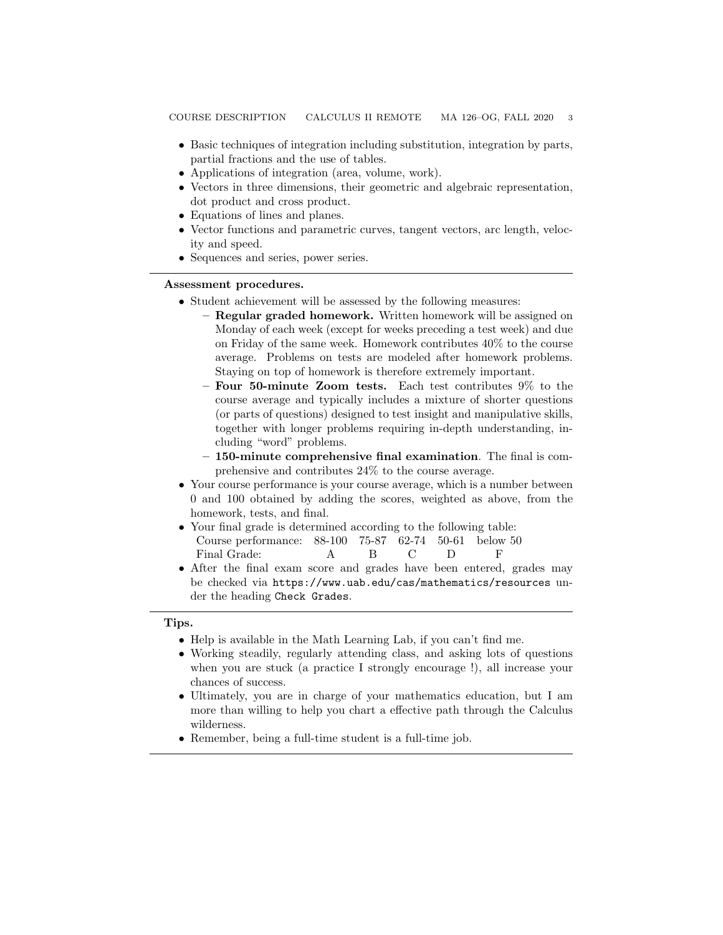- Basic techniques of integration including substitution, integration by parts, partial fractions and the use of tables.
- Applications of integration (area, volume, work).
- Vectors in three dimensions, their geometric and algebraic representation, dot product and cross product.
- Equations of lines and planes.
- Vector functions and parametric curves, tangent vectors, arc length, velocity and speed.
- Sequences and series, power series.

### Assessment procedures.

- Student achievement will be assessed by the following measures:
	- Regular graded homework. Written homework will be assigned on Monday of each week (except for weeks preceding a test week) and due on Friday of the same week. Homework contributes 40% to the course average. Problems on tests are modeled after homework problems. Staying on top of homework is therefore extremely important.
	- Four 50-minute Zoom tests. Each test contributes 9% to the course average and typically includes a mixture of shorter questions (or parts of questions) designed to test insight and manipulative skills, together with longer problems requiring in-depth understanding, including "word" problems.
	- 150-minute comprehensive final examination. The final is comprehensive and contributes 24% to the course average.
- Your course performance is your course average, which is a number between 0 and 100 obtained by adding the scores, weighted as above, from the homework, tests, and final.
- Your final grade is determined according to the following table: Course performance: 88-100 75-87 62-74 50-61 below 50 Final Grade: A B C D F
- After the final exam score and grades have been entered, grades may be checked via https://www.uab.edu/cas/mathematics/resources under the heading Check Grades.

#### Tips.

- Help is available in the Math Learning Lab, if you can't find me.
- Working steadily, regularly attending class, and asking lots of questions when you are stuck (a practice I strongly encourage !), all increase your chances of success.
- Ultimately, you are in charge of your mathematics education, but I am more than willing to help you chart a effective path through the Calculus wilderness.
- Remember, being a full-time student is a full-time job.